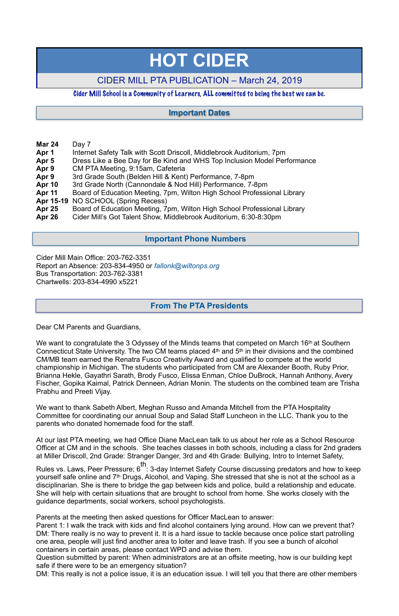- **Mar 24** Day 7
- **Apr 1** Internet Safety Talk with Scott Driscoll, Middlebrook Auditorium, 7pm
- **Apr 5** Dress Like a Bee Day for Be Kind and WHS Top Inclusion Model Performance
- **Apr 9** CM PTA Meeting, 9:15am, Cafeteria
- **Apr 9** 3rd Grade South (Belden Hill & Kent) Performance, 7-8pm
- **Apr 10** 3rd Grade North (Cannondale & Nod Hill) Performance, 7-8pm
- **Apr 11** Board of Education Meeting, 7pm, Wilton High School Professional Library
- **Apr 15-19** NO SCHOOL (Spring Recess)
- **Apr 25** Board of Education Meeting, 7pm, Wilton High School Professional Library
- **Apr 26** Cider Mill's Got Talent Show, Middlebrook Auditorium, 6:30-8:30pm

Cider Mill Main Office: 203-762-3351 Report an Absence: 203-834-4950 or *[fallonk@wiltonps.org](mailto:fallonk@wiltonps.org)* Bus Transportation: 203-762-3381 Chartwells: 203-834-4990 x5221

We want to congratulate the 3 Odyssey of the Minds teams that competed on March 16<sup>th</sup> at Southern Connecticut State University. The two CM teams placed 4th and 5th in their divisions and the combined CM/MB team earned the Renatra Fusco Creativity Award and qualified to compete at the world championship in Michigan. The students who participated from CM are Alexander Booth, Ruby Prior, Brianna Hekle, Gayathri Sarath, Brody Fusco, Elissa Enman, Chloe DuBrock, Hannah Anthony, Avery Fischer, Gopika Kaimal, Patrick Denneen, Adrian Monin. The students on the combined team are Trisha Prabhu and Preeti Vijay.

Dear CM Parents and Guardians,

th<br>Rules vs. Laws, Peer Pressure; 6: 3-day Internet Safety Course discussing predators and how to keep yourself safe online and 7th Drugs, Alcohol, and Vaping. She stressed that she is not at the school as a disciplinarian. She is there to bridge the gap between kids and police, build a relationship and educate. She will help with certain situations that are brought to school from home. She works closely with the guidance departments, social workers, school psychologists.

We want to thank Sabeth Albert, Meghan Russo and Amanda Mitchell from the PTA Hospitality Committee for coordinating our annual Soup and Salad Staff Luncheon in the LLC. Thank you to the parents who donated homemade food for the staff.

At our last PTA meeting, we had Office Diane MacLean talk to us about her role as a School Resource Officer at CM and in the schools. She teaches classes in both schools, including a class for 2nd graders

at Miller Driscoll, 2nd Grade: Stranger Danger, 3rd and 4th Grade: Bullying, Intro to Internet Safety,

Parents at the meeting then asked questions for Officer MacLean to answer:

Parent 1: I walk the track with kids and find alcohol containers lying around. How can we prevent that? DM: There really is no way to prevent it. It is a hard issue to tackle because once police start patrolling one area, people will just find another area to loiter and leave trash. If you see a bunch of alcohol containers in certain areas, please contact WPD and advise them.

Question submitted by parent: When administrators are at an offsite meeting, how is our building kept safe if there were to be an emergency situation?

DM: This really is not a police issue, it is an education issue. I will tell you that there are other members

# **HOT CIDER**

# CIDER MILL PTA PUBLICATION – March 24, 2019

## Cider Mill School is a Community of Learners, ALL committed to being the best we can be.

# **From The PTA Presidents**

# **Important Dates**

# **Important Phone Numbers**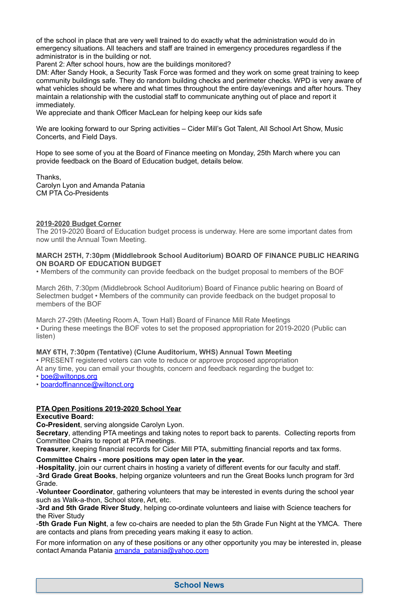of the school in place that are very well trained to do exactly what the administration would do in emergency situations. All teachers and staff are trained in emergency procedures regardless if the administrator is in the building or not.

Parent 2: After school hours, how are the buildings monitored?

We are looking forward to our Spring activities – Cider Mill's Got Talent, All School Art Show, Music Concerts, and Field Days.

DM: After Sandy Hook, a Security Task Force was formed and they work on some great training to keep community buildings safe. They do random building checks and perimeter checks. WPD is very aware of what vehicles should be where and what times throughout the entire day/evenings and after hours. They maintain a relationship with the custodial staff to communicate anything out of place and report it immediately.

We appreciate and thank Officer MacLean for helping keep our kids safe

Hope to see some of you at the Board of Finance meeting on Monday, 25th March where you can provide feedback on the Board of Education budget, details below.

Thanks, Carolyn Lyon and Amanda Patania CM PTA Co-Presidents

## **2019-2020 Budget Corner**

The 2019-2020 Board of Education budget process is underway. Here are some important dates from now until the Annual Town Meeting.

## **MARCH 25TH, 7:30pm (Middlebrook School Auditorium) BOARD OF FINANCE PUBLIC HEARING ON BOARD OF EDUCATION BUDGET**

• Members of the community can provide feedback on the budget proposal to members of the BOF

March 26th, 7:30pm (Middlebrook School Auditorium) Board of Finance public hearing on Board of Selectmen budget • Members of the community can provide feedback on the budget proposal to members of the BOF

March 27-29th (Meeting Room A, Town Hall) Board of Finance Mill Rate Meetings • During these meetings the BOF votes to set the proposed appropriation for 2019-2020 (Public can listen)

# **MAY 6TH, 7:30pm (Tentative) (Clune Auditorium, WHS) Annual Town Meeting**

• PRESENT registered voters can vote to reduce or approve proposed appropriation

At any time, you can email your thoughts, concern and feedback regarding the budget to:

• [boe@wiltonps.org](mailto:boe@wiltonps.org)

• [boardoffinannce@wiltonct.org](mailto:boardoffinannce@wiltonct.org)

# **PTA Open Positions 2019-2020 School Year**

# **Executive Board:**

**Co-President**, serving alongside Carolyn Lyon.

**Secretary**, attending PTA meetings and taking notes to report back to parents. Collecting reports from Committee Chairs to report at PTA meetings.

**Treasurer**, keeping financial records for Cider Mill PTA, submitting financial reports and tax forms.

**Committee Chairs - more positions may open later in the year.**

-**Hospitality**, join our current chairs in hosting a variety of different events for our faculty and staff.

-**3rd Grade Great Books**, helping organize volunteers and run the Great Books lunch program for 3rd Grade.

-**Volunteer Coordinator**, gathering volunteers that may be interested in events during the school year such as Walk-a-thon, School store, Art, etc.

-**3rd and 5th Grade River Study**, helping co-ordinate volunteers and liaise with Science teachers for the River Study

-**5th Grade Fun Night**, a few co-chairs are needed to plan the 5th Grade Fun Night at the YMCA. There are contacts and plans from preceding years making it easy to action.

For more information on any of these positions or any other opportunity you may be interested in, please contact Amanda Patania [amanda\\_patania@yahoo.com](mailto:amanda_patania@yahoo.com)

# **School News**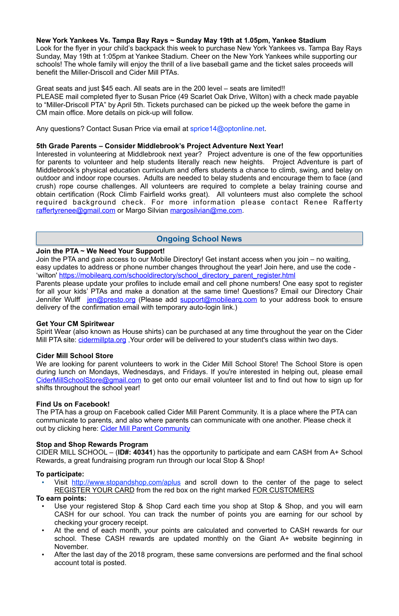#### **New York Yankees Vs. Tampa Bay Rays ~ Sunday May 19th at 1.05pm, Yankee Stadium**

Look for the flyer in your child's backpack this week to purchase New York Yankees vs. Tampa Bay Rays Sunday, May 19th at 1:05pm at Yankee Stadium. Cheer on the New York Yankees while supporting our schools! The whole family will enjoy the thrill of a live baseball game and the ticket sales proceeds will benefit the Miller-Driscoll and Cider Mill PTAs.

Interested in volunteering at Middlebrook next year? Project adventure is one of the few opportunities for parents to volunteer and help students literally reach new heights. Project Adventure is part of Middlebrook's physical education curriculum and offers students a chance to climb, swing, and belay on outdoor and indoor rope courses. Adults are needed to belay students and encourage them to face (and crush) rope course challenges. All volunteers are required to complete a belay training course and obtain certification (Rock Climb Fairfield works great). All volunteers must also complete the school required background check. For more information please contact Renee Rafferty [raffertyrenee@gmail.com](mailto:raffertyrenee@gmail.com) or Margo Silvian [margosilvian@me.com.](mailto:margosilvian@me.com)

Great seats and just \$45 each. All seats are in the 200 level – seats are limited!! PLEASE mail completed flyer to Susan Price (49 Scarlet Oak Drive, Wilton) with a check made payable to "Miller-Driscoll PTA" by April 5th. Tickets purchased can be picked up the week before the game in CM main office. More details on pick-up will follow.

Any questions? Contact Susan Price via email at [sprice14@optonline.net](mailto:sprice14@optonline.net).

#### **5th Grade Parents – Consider Middlebrook's Project Adventure Next Year!**

Spirit Wear (also known as House shirts) can be purchased at any time throughout the year on the Cider Mill PTA site: cidermillpta.org, Your order will be delivered to your student's class within two days.

The PTA has a group on Facebook called Cider Mill Parent Community. It is a place where the PTA can communicate to parents, and also where parents can communicate with one another. Please check it out by clicking here: [Cider Mill Parent Community](https://www.facebook.com/groups/1168962513117647/)

#### **Join the PTA ~ We Need Your Support!**

Join the PTA and gain access to our Mobile Directory! Get instant access when you join – no waiting, easy updates to address or phone number changes throughout the year! Join here, and use the code - 'wilton' [https://mobilearq.com/schooldirectory/school\\_directory\\_parent\\_register.html](https://mobilearq.com/schooldirectory/school_directory_parent_register.html) 

- Use your registered Stop & Shop Card each time you shop at Stop & Shop, and you will earn CASH for our school. You can track the number of points you are earning for our school by checking your grocery receipt.
- At the end of each month, your points are calculated and converted to CASH rewards for our school. These CASH rewards are updated monthly on the Giant A+ website beginning in November.
- After the last day of the 2018 program, these same conversions are performed and the final school account total is posted.

Parents please update your profiles to include email and cell phone numbers! One easy spot to register for all your kids' PTAs and make a donation at the same time! Questions? Email our Directory Chair Jennifer Wulff [jen@presto.org](mailto:jen@presto.org) (Please add support@mobilearg.com to your address book to ensure delivery of the confirmation email with temporary auto-login link.)

#### **Get Your CM Spiritwear**

#### **Cider Mill School Store**

We are looking for parent volunteers to work in the Cider Mill School Store! The School Store is open during lunch on Mondays, Wednesdays, and Fridays. If you're interested in helping out, please email [CiderMillSchoolStore@gmail.com](mailto:CiderMillSchoolStore@gmail.com) to get onto our email volunteer list and to find out how to sign up for shifts throughout the school year!

#### **Find Us on Facebook!**

#### **Stop and Shop Rewards Program**

CIDER MILL SCHOOL – (**ID#: 40341**) has the opportunity to participate and earn CASH from A+ School

Rewards, a great fundraising program run through our local Stop & Shop!

## **To participate:**

• Visit <http://www.stopandshop.com/aplus> and scroll down to the center of the page to select REGISTER YOUR CARD from the red box on the right marked FOR CUSTOMERS

**To earn points:**

# **Ongoing School News**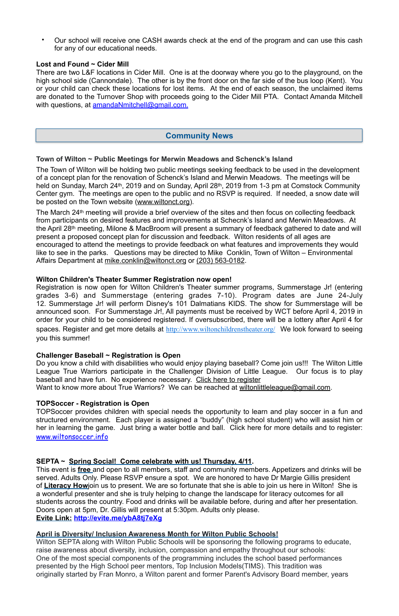• Our school will receive one CASH awards check at the end of the program and can use this cash for any of our educational needs.

There are two L&F locations in Cider Mill. One is at the doorway where you go to the playground, on the high school side (Cannondale). The other is by the front door on the far side of the bus loop (Kent). You or your child can check these locations for lost items. At the end of each season, the unclaimed items are donated to the Turnover Shop with proceeds going to the Cider Mill PTA. Contact Amanda Mitchell with questions, at [amandaNmitchell@gmail.com](mailto:amandaNmitchell@gmail.com).

#### **Lost and Found ~ Cider Mill**

The March 24th meeting will provide a brief overview of the sites and then focus on collecting feedback from participants on desired features and improvements at Schecnk's Island and Merwin Meadows. At the April 28th meeting, Milone & MacBroom will present a summary of feedback gathered to date and will present a proposed concept plan for discussion and feedback. Wilton residents of all ages are encouraged to attend the meetings to provide feedback on what features and improvements they would like to see in the parks. Questions may be directed to Mike Conklin, Town of Wilton – Environmental Affairs Department at [mike.conklin@wiltonct.org](mailto:mike.conklin@wiltonct.org) or (203) 563-0182.

#### **Town of Wilton ~ Public Meetings for Merwin Meadows and Schenck's Island**

The Town of Wilton will be holding two public meetings seeking feedback to be used in the development of a concept plan for the renovation of Schenck's Island and Merwin Meadows. The meetings will be held on Sunday, March 24<sup>th</sup>, 2019 and on Sunday, April 28<sup>th</sup>, 2019 from 1-3 pm at Comstock Community Center gym. The meetings are open to the public and no RSVP is required. If needed, a snow date will be posted on the Town website ([www.wiltonct.org\)](https://urldefense.proofpoint.com/v2/url?u=http-3A__www.wiltonct.org&d=DwMFaQ&c=i0QXx0LZaNWl3bsI0Hrdtw&r=T5IF5FPtOaOlzvYwnNvgtq89J2GxSdkCf2ZqvbZBKxY&m=oc1PMu_OI1PKz0qzB01kHnVkX216SM1mjRwcHICYUac&s=om5RpAty-G5v46PWXCiYvRJ7qYpFk8kGyFop5AxPNM4&e=).

#### **Wilton Children's Theater Summer Registration now open!**

Registration is now open for Wilton Children's Theater summer programs, Summerstage Jr! (entering grades 3-6) and Summerstage (entering grades 7-10). Program dates are June 24-July 12. Summerstage Jr! will perform Disney's 101 Dalmatians KIDS. The show for Summerstage will be announced soon. For Summerstage Jr!, All payments must be received by WCT before April 4, 2019 in order for your child to be considered registered. If oversubscribed, there will be a lottery after April 4 for spaces. Register and get more details at <http://www.wiltonchildrenstheater.org/> We look forward to seeing you this summer!

#### **Challenger Baseball ~ Registration is Open**

Do you know a child with disabilities who would enjoy playing baseball? Come join us!!! The Wilton Little League True Warriors participate in the Challenger Division of Little League. Our focus is to play baseball and have fun. No experience necessary. [Click here to register](https://urldefense.proofpoint.com/v2/url?u=http-3A__assn.la_Reg_-3Fr-3D4-3A147970&d=DwMFaQ&c=i0QXx0LZaNWl3bsI0Hrdtw&r=T5IF5FPtOaOlzvYwnNvgtq89J2GxSdkCf2ZqvbZBKxY&m=HJ_k1gkjFCEpIS5qbBRj3KUJYyMqecPLRn_TUTUe7lw&s=Ny-eiRQI-wYLqATGk4Sr0yLiTZDKb8ZdkhuEjSzGhmU&e=)

Want to know more about True Warriors? We can be reached at [wiltonlittleleague@gmail.com](mailto:wiltonlittleleague@gmail.com).

#### **TOPSoccer - Registration is Open**

TOPSoccer provides children with special needs the opportunity to learn and play soccer in a fun and structured environment. Each player is assigned a "buddy" (high school student) who will assist him or her in learning the game. Just bring a water bottle and ball. Click here for more details and to register: [www.wiltonsoccer.info](http://www.wiltonsoccer.info)

#### **SEPTA ~ Spring Social! Come celebrate with us! Thursday, 4/11.**

This event is **free** and open to all members, staff and community members. Appetizers and drinks will be served. Adults Only. Please RSVP ensure a spot. We are honored to have Dr Margie Gillis president of **Literacy How**join us to present. We are so fortunate that she is able to join us here in Wilton! She is a wonderful presenter and she is truly helping to change the landscape for literacy outcomes for all students across the country. Food and drinks will be available before, during and after her presentation. Doors open at 5pm, Dr. Gillis will present at 5:30pm. Adults only please.

**Evite Link: <http://evite.me/ybA8tj7eXg>**

#### **April is Diversity/ Inclusion Awareness Month for Wilton Public Schools!**

Wilton SEPTA along with Wilton Public Schools will be sponsoring the following programs to educate, raise awareness about diversity, inclusion, compassion and empathy throughout our schools: One of the most special components of the programming includes the school based performances presented by the High School peer mentors, Top Inclusion Models(TIMS). This tradition was originally started by Fran Monro, a Wilton parent and former Parent's Advisory Board member, years

## **Community News**